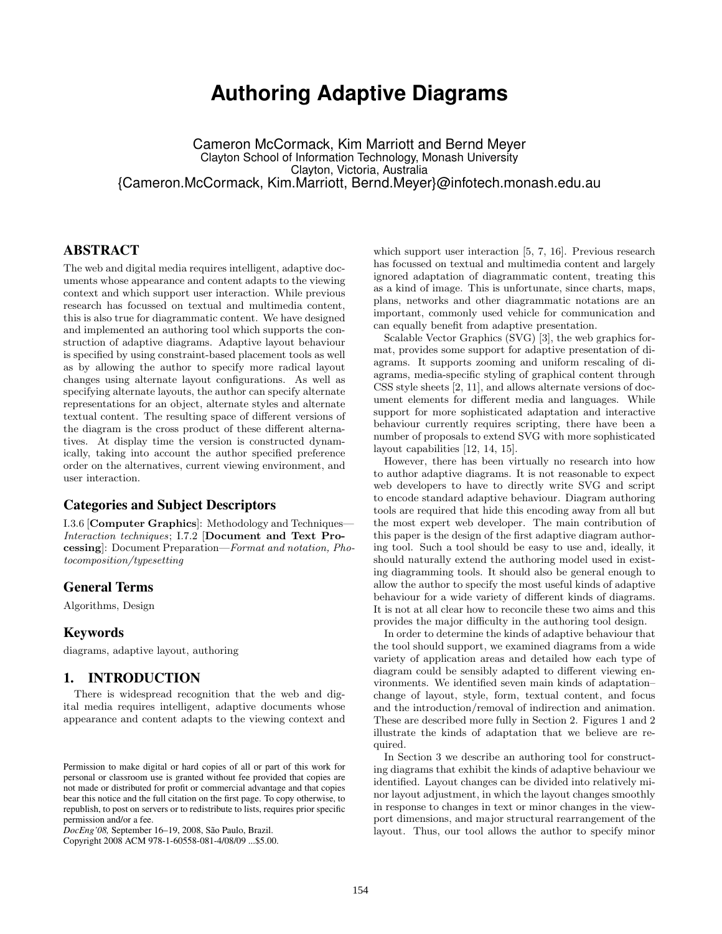# **Authoring Adaptive Diagrams**

Cameron McCormack, Kim Marriott and Bernd Meyer Clayton School of Information Technology, Monash University Clayton, Victoria, Australia {Cameron.McCormack, Kim.Marriott, Bernd.Meyer}@infotech.monash.edu.au

# ABSTRACT

The web and digital media requires intelligent, adaptive documents whose appearance and content adapts to the viewing context and which support user interaction. While previous research has focussed on textual and multimedia content, this is also true for diagrammatic content. We have designed and implemented an authoring tool which supports the construction of adaptive diagrams. Adaptive layout behaviour is specified by using constraint-based placement tools as well as by allowing the author to specify more radical layout changes using alternate layout configurations. As well as specifying alternate layouts, the author can specify alternate representations for an object, alternate styles and alternate textual content. The resulting space of different versions of the diagram is the cross product of these different alternatives. At display time the version is constructed dynamically, taking into account the author specified preference order on the alternatives, current viewing environment, and user interaction.

## Categories and Subject Descriptors

I.3.6 [Computer Graphics]: Methodology and Techniques-Interaction techniques; I.7.2 [Document and Text Processing]: Document Preparation—Format and notation, Photocomposition/typesetting

#### General Terms

Algorithms, Design

#### Keywords

diagrams, adaptive layout, authoring

## 1. INTRODUCTION

There is widespread recognition that the web and digital media requires intelligent, adaptive documents whose appearance and content adapts to the viewing context and

Copyright 2008 ACM 978-1-60558-081-4/08/09 ...\$5.00.

which support user interaction [5, 7, 16]. Previous research has focussed on textual and multimedia content and largely ignored adaptation of diagrammatic content, treating this as a kind of image. This is unfortunate, since charts, maps, plans, networks and other diagrammatic notations are an important, commonly used vehicle for communication and can equally benefit from adaptive presentation.

Scalable Vector Graphics (SVG) [3], the web graphics format, provides some support for adaptive presentation of diagrams. It supports zooming and uniform rescaling of diagrams, media-specific styling of graphical content through CSS style sheets [2, 11], and allows alternate versions of document elements for different media and languages. While support for more sophisticated adaptation and interactive behaviour currently requires scripting, there have been a number of proposals to extend SVG with more sophisticated layout capabilities [12, 14, 15].

However, there has been virtually no research into how to author adaptive diagrams. It is not reasonable to expect web developers to have to directly write SVG and script to encode standard adaptive behaviour. Diagram authoring tools are required that hide this encoding away from all but the most expert web developer. The main contribution of this paper is the design of the first adaptive diagram authoring tool. Such a tool should be easy to use and, ideally, it should naturally extend the authoring model used in existing diagramming tools. It should also be general enough to allow the author to specify the most useful kinds of adaptive behaviour for a wide variety of different kinds of diagrams. It is not at all clear how to reconcile these two aims and this provides the major difficulty in the authoring tool design.

In order to determine the kinds of adaptive behaviour that the tool should support, we examined diagrams from a wide variety of application areas and detailed how each type of diagram could be sensibly adapted to different viewing environments. We identified seven main kinds of adaptation– change of layout, style, form, textual content, and focus and the introduction/removal of indirection and animation. These are described more fully in Section 2. Figures 1 and 2 illustrate the kinds of adaptation that we believe are required.

In Section 3 we describe an authoring tool for constructing diagrams that exhibit the kinds of adaptive behaviour we identified. Layout changes can be divided into relatively minor layout adjustment, in which the layout changes smoothly in response to changes in text or minor changes in the viewport dimensions, and major structural rearrangement of the layout. Thus, our tool allows the author to specify minor

Permission to make digital or hard copies of all or part of this work for personal or classroom use is granted without fee provided that copies are not made or distributed for profit or commercial advantage and that copies bear this notice and the full citation on the first page. To copy otherwise, to republish, to post on servers or to redistribute to lists, requires prior specific permission and/or a fee.

*DocEng'08,* September 16–19, 2008, São Paulo, Brazil.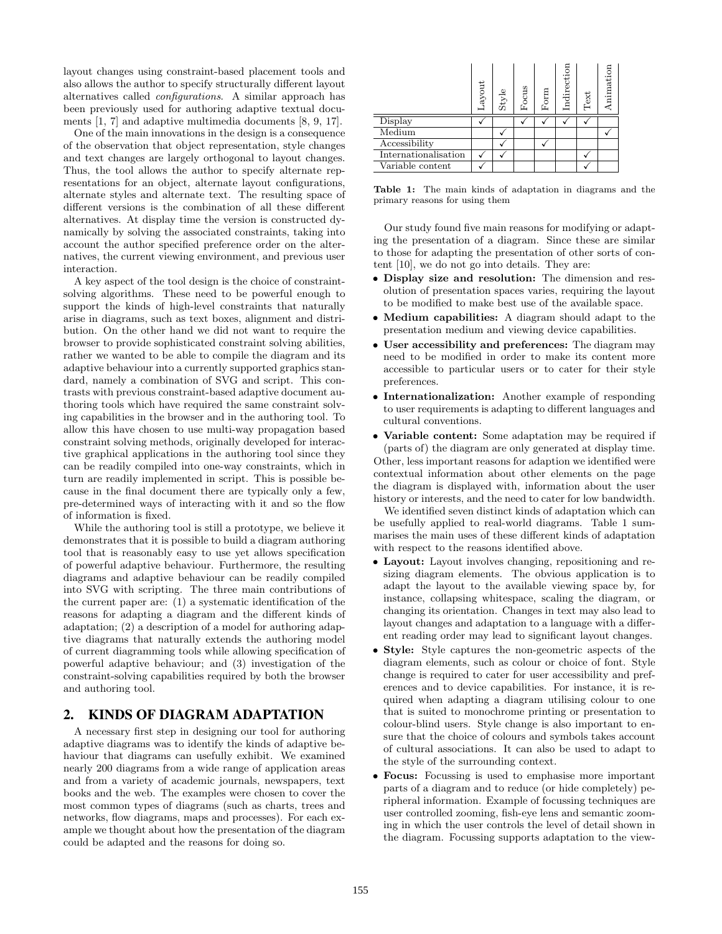layout changes using constraint-based placement tools and also allows the author to specify structurally different layout alternatives called configurations. A similar approach has been previously used for authoring adaptive textual documents [1, 7] and adaptive multimedia documents [8, 9, 17].

One of the main innovations in the design is a consequence of the observation that object representation, style changes and text changes are largely orthogonal to layout changes. Thus, the tool allows the author to specify alternate representations for an object, alternate layout configurations, alternate styles and alternate text. The resulting space of different versions is the combination of all these different alternatives. At display time the version is constructed dynamically by solving the associated constraints, taking into account the author specified preference order on the alternatives, the current viewing environment, and previous user interaction.

A key aspect of the tool design is the choice of constraintsolving algorithms. These need to be powerful enough to support the kinds of high-level constraints that naturally arise in diagrams, such as text boxes, alignment and distribution. On the other hand we did not want to require the browser to provide sophisticated constraint solving abilities, rather we wanted to be able to compile the diagram and its adaptive behaviour into a currently supported graphics standard, namely a combination of SVG and script. This contrasts with previous constraint-based adaptive document authoring tools which have required the same constraint solving capabilities in the browser and in the authoring tool. To allow this have chosen to use multi-way propagation based constraint solving methods, originally developed for interactive graphical applications in the authoring tool since they can be readily compiled into one-way constraints, which in turn are readily implemented in script. This is possible because in the final document there are typically only a few, pre-determined ways of interacting with it and so the flow of information is fixed.

While the authoring tool is still a prototype, we believe it demonstrates that it is possible to build a diagram authoring tool that is reasonably easy to use yet allows specification of powerful adaptive behaviour. Furthermore, the resulting diagrams and adaptive behaviour can be readily compiled into SVG with scripting. The three main contributions of the current paper are: (1) a systematic identification of the reasons for adapting a diagram and the different kinds of adaptation; (2) a description of a model for authoring adaptive diagrams that naturally extends the authoring model of current diagramming tools while allowing specification of powerful adaptive behaviour; and (3) investigation of the constraint-solving capabilities required by both the browser and authoring tool.

#### 2. KINDS OF DIAGRAM ADAPTATION

A necessary first step in designing our tool for authoring adaptive diagrams was to identify the kinds of adaptive behaviour that diagrams can usefully exhibit. We examined nearly 200 diagrams from a wide range of application areas and from a variety of academic journals, newspapers, text books and the web. The examples were chosen to cover the most common types of diagrams (such as charts, trees and networks, flow diagrams, maps and processes). For each example we thought about how the presentation of the diagram could be adapted and the reasons for doing so.

|                      | Layout | Style | Focus | Form | Indirection | Text | Animation |
|----------------------|--------|-------|-------|------|-------------|------|-----------|
| <b>Display</b>       |        |       |       |      |             |      |           |
| Medium               |        |       |       |      |             |      |           |
| Accessibility        |        |       |       |      |             |      |           |
| Internationalisation |        |       |       |      |             |      |           |
| Variable content     |        |       |       |      |             |      |           |

Table 1: The main kinds of adaptation in diagrams and the primary reasons for using them

Our study found five main reasons for modifying or adapting the presentation of a diagram. Since these are similar to those for adapting the presentation of other sorts of content [10], we do not go into details. They are:

- Display size and resolution: The dimension and resolution of presentation spaces varies, requiring the layout to be modified to make best use of the available space.
- Medium capabilities: A diagram should adapt to the presentation medium and viewing device capabilities.
- User accessibility and preferences: The diagram may need to be modified in order to make its content more accessible to particular users or to cater for their style preferences.
- Internationalization: Another example of responding to user requirements is adapting to different languages and cultural conventions.
- Variable content: Some adaptation may be required if (parts of) the diagram are only generated at display time. Other, less important reasons for adaption we identified were contextual information about other elements on the page the diagram is displayed with, information about the user history or interests, and the need to cater for low bandwidth.

We identified seven distinct kinds of adaptation which can be usefully applied to real-world diagrams. Table 1 summarises the main uses of these different kinds of adaptation with respect to the reasons identified above.

- Layout: Layout involves changing, repositioning and resizing diagram elements. The obvious application is to adapt the layout to the available viewing space by, for instance, collapsing whitespace, scaling the diagram, or changing its orientation. Changes in text may also lead to layout changes and adaptation to a language with a different reading order may lead to significant layout changes.
- Style: Style captures the non-geometric aspects of the diagram elements, such as colour or choice of font. Style change is required to cater for user accessibility and preferences and to device capabilities. For instance, it is required when adapting a diagram utilising colour to one that is suited to monochrome printing or presentation to colour-blind users. Style change is also important to ensure that the choice of colours and symbols takes account of cultural associations. It can also be used to adapt to the style of the surrounding context.
- Focus: Focussing is used to emphasise more important parts of a diagram and to reduce (or hide completely) peripheral information. Example of focussing techniques are user controlled zooming, fish-eye lens and semantic zooming in which the user controls the level of detail shown in the diagram. Focussing supports adaptation to the view-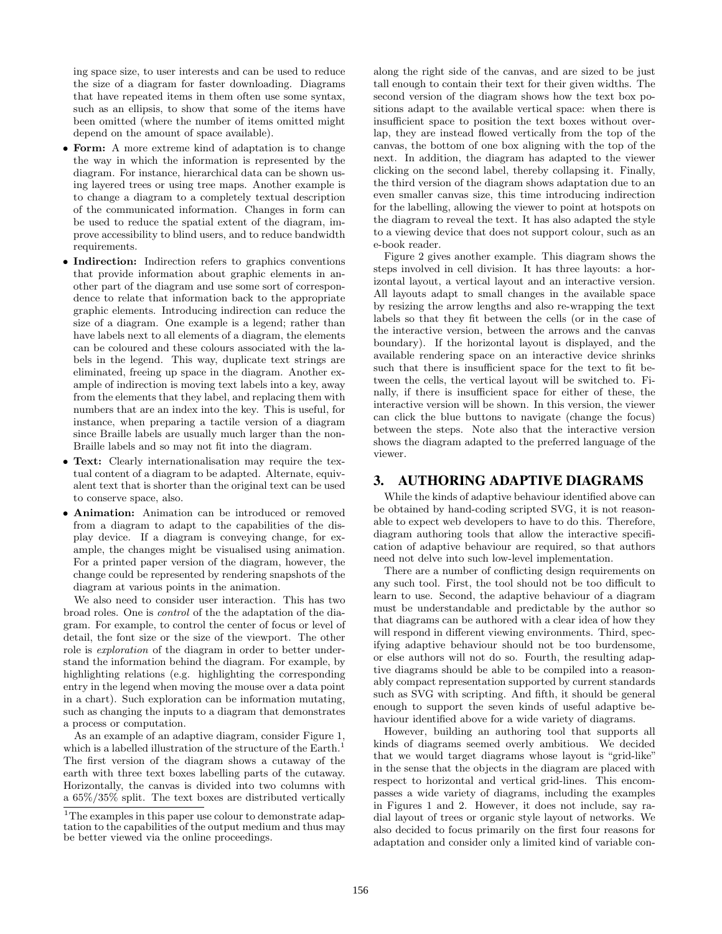ing space size, to user interests and can be used to reduce the size of a diagram for faster downloading. Diagrams that have repeated items in them often use some syntax, such as an ellipsis, to show that some of the items have been omitted (where the number of items omitted might depend on the amount of space available).

- Form: A more extreme kind of adaptation is to change the way in which the information is represented by the diagram. For instance, hierarchical data can be shown using layered trees or using tree maps. Another example is to change a diagram to a completely textual description of the communicated information. Changes in form can be used to reduce the spatial extent of the diagram, improve accessibility to blind users, and to reduce bandwidth requirements.
- Indirection: Indirection refers to graphics conventions that provide information about graphic elements in another part of the diagram and use some sort of correspondence to relate that information back to the appropriate graphic elements. Introducing indirection can reduce the size of a diagram. One example is a legend; rather than have labels next to all elements of a diagram, the elements can be coloured and these colours associated with the labels in the legend. This way, duplicate text strings are eliminated, freeing up space in the diagram. Another example of indirection is moving text labels into a key, away from the elements that they label, and replacing them with numbers that are an index into the key. This is useful, for instance, when preparing a tactile version of a diagram since Braille labels are usually much larger than the non-Braille labels and so may not fit into the diagram.
- Text: Clearly internationalisation may require the textual content of a diagram to be adapted. Alternate, equivalent text that is shorter than the original text can be used to conserve space, also.
- Animation: Animation can be introduced or removed from a diagram to adapt to the capabilities of the display device. If a diagram is conveying change, for example, the changes might be visualised using animation. For a printed paper version of the diagram, however, the change could be represented by rendering snapshots of the diagram at various points in the animation.

We also need to consider user interaction. This has two broad roles. One is control of the the adaptation of the diagram. For example, to control the center of focus or level of detail, the font size or the size of the viewport. The other role is exploration of the diagram in order to better understand the information behind the diagram. For example, by highlighting relations (e.g. highlighting the corresponding entry in the legend when moving the mouse over a data point in a chart). Such exploration can be information mutating, such as changing the inputs to a diagram that demonstrates a process or computation.

As an example of an adaptive diagram, consider Figure 1, which is a labelled illustration of the structure of the Earth.<sup>1</sup> The first version of the diagram shows a cutaway of the earth with three text boxes labelling parts of the cutaway. Horizontally, the canvas is divided into two columns with a 65%/35% split. The text boxes are distributed vertically along the right side of the canvas, and are sized to be just tall enough to contain their text for their given widths. The second version of the diagram shows how the text box positions adapt to the available vertical space: when there is insufficient space to position the text boxes without overlap, they are instead flowed vertically from the top of the canvas, the bottom of one box aligning with the top of the next. In addition, the diagram has adapted to the viewer clicking on the second label, thereby collapsing it. Finally, the third version of the diagram shows adaptation due to an even smaller canvas size, this time introducing indirection for the labelling, allowing the viewer to point at hotspots on the diagram to reveal the text. It has also adapted the style to a viewing device that does not support colour, such as an e-book reader.

Figure 2 gives another example. This diagram shows the steps involved in cell division. It has three layouts: a horizontal layout, a vertical layout and an interactive version. All layouts adapt to small changes in the available space by resizing the arrow lengths and also re-wrapping the text labels so that they fit between the cells (or in the case of the interactive version, between the arrows and the canvas boundary). If the horizontal layout is displayed, and the available rendering space on an interactive device shrinks such that there is insufficient space for the text to fit between the cells, the vertical layout will be switched to. Finally, if there is insufficient space for either of these, the interactive version will be shown. In this version, the viewer can click the blue buttons to navigate (change the focus) between the steps. Note also that the interactive version shows the diagram adapted to the preferred language of the viewer.

#### 3. AUTHORING ADAPTIVE DIAGRAMS

While the kinds of adaptive behaviour identified above can be obtained by hand-coding scripted SVG, it is not reasonable to expect web developers to have to do this. Therefore, diagram authoring tools that allow the interactive specification of adaptive behaviour are required, so that authors need not delve into such low-level implementation.

There are a number of conflicting design requirements on any such tool. First, the tool should not be too difficult to learn to use. Second, the adaptive behaviour of a diagram must be understandable and predictable by the author so that diagrams can be authored with a clear idea of how they will respond in different viewing environments. Third, specifying adaptive behaviour should not be too burdensome, or else authors will not do so. Fourth, the resulting adaptive diagrams should be able to be compiled into a reasonably compact representation supported by current standards such as SVG with scripting. And fifth, it should be general enough to support the seven kinds of useful adaptive behaviour identified above for a wide variety of diagrams.

However, building an authoring tool that supports all kinds of diagrams seemed overly ambitious. We decided that we would target diagrams whose layout is "grid-like" in the sense that the objects in the diagram are placed with respect to horizontal and vertical grid-lines. This encompasses a wide variety of diagrams, including the examples in Figures 1 and 2. However, it does not include, say radial layout of trees or organic style layout of networks. We also decided to focus primarily on the first four reasons for adaptation and consider only a limited kind of variable con-

<sup>&</sup>lt;sup>1</sup>The examples in this paper use colour to demonstrate adaptation to the capabilities of the output medium and thus may be better viewed via the online proceedings.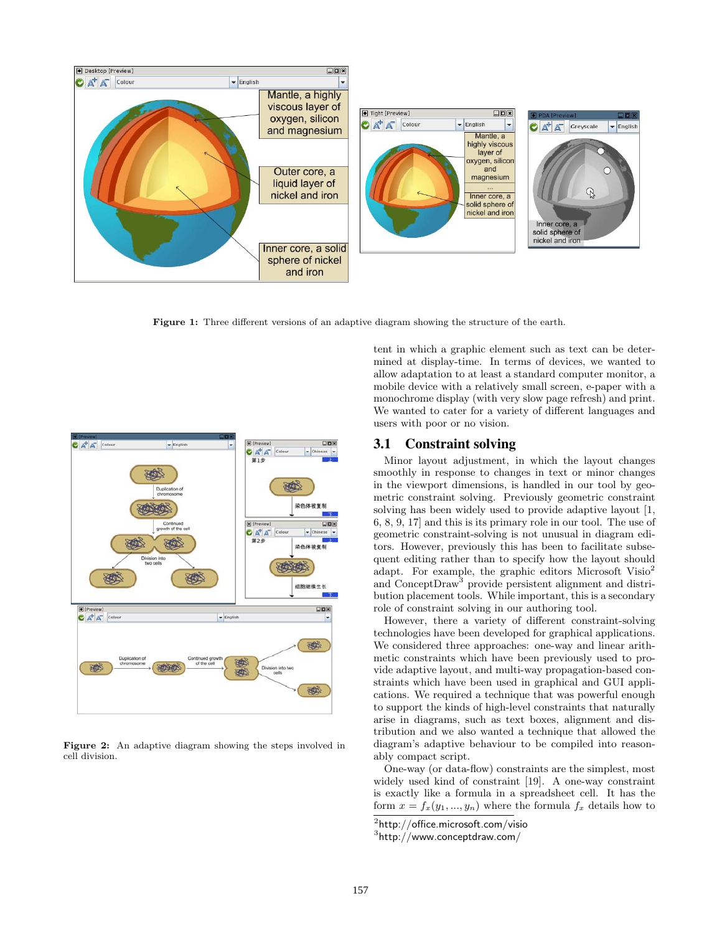

Figure 1: Three different versions of an adaptive diagram showing the structure of the earth.



Figure 2: An adaptive diagram showing the steps involved in cell division.

tent in which a graphic element such as text can be determined at display-time. In terms of devices, we wanted to allow adaptation to at least a standard computer monitor, a mobile device with a relatively small screen, e-paper with a monochrome display (with very slow page refresh) and print. We wanted to cater for a variety of different languages and users with poor or no vision.

#### 3.1 Constraint solving

Minor layout adjustment, in which the layout changes smoothly in response to changes in text or minor changes in the viewport dimensions, is handled in our tool by geometric constraint solving. Previously geometric constraint solving has been widely used to provide adaptive layout [1, 6, 8, 9, 17] and this is its primary role in our tool. The use of geometric constraint-solving is not unusual in diagram editors. However, previously this has been to facilitate subsequent editing rather than to specify how the layout should adapt. For example, the graphic editors Microsoft Visio<sup>2</sup> and ConceptDraw<sup>3</sup> provide persistent alignment and distribution placement tools. While important, this is a secondary role of constraint solving in our authoring tool.

However, there a variety of different constraint-solving technologies have been developed for graphical applications. We considered three approaches: one-way and linear arithmetic constraints which have been previously used to provide adaptive layout, and multi-way propagation-based constraints which have been used in graphical and GUI applications. We required a technique that was powerful enough to support the kinds of high-level constraints that naturally arise in diagrams, such as text boxes, alignment and distribution and we also wanted a technique that allowed the diagram's adaptive behaviour to be compiled into reasonably compact script.

One-way (or data-flow) constraints are the simplest, most widely used kind of constraint [19]. A one-way constraint is exactly like a formula in a spreadsheet cell. It has the form  $x = f_x(y_1, ..., y_n)$  where the formula  $f_x$  details how to

 $^{2}$ http://office.microsoft.com/visio

 $^3$ http://www.conceptdraw.com/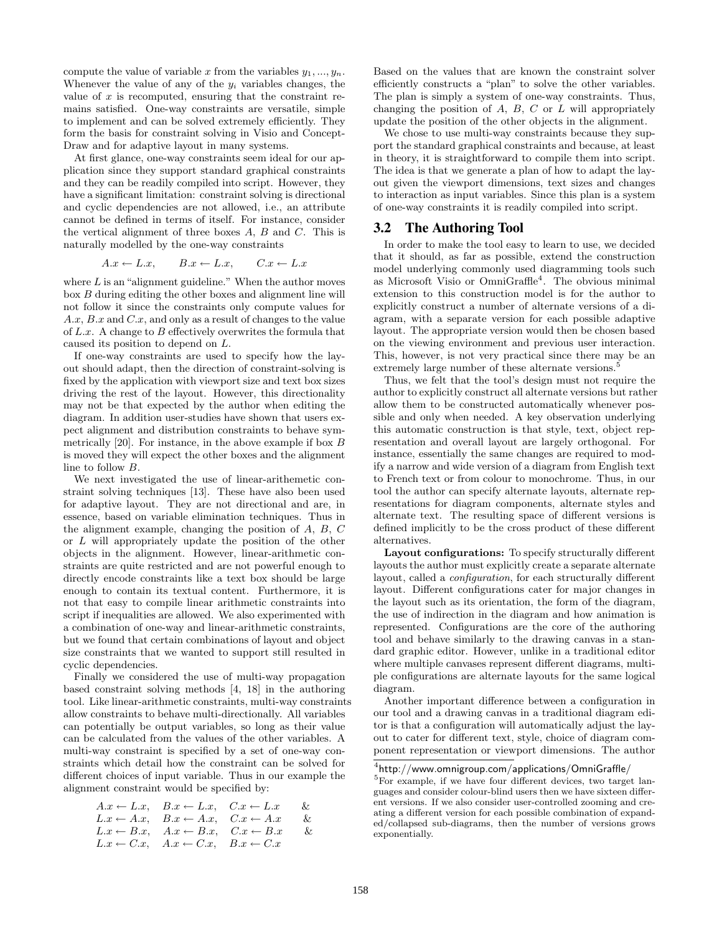compute the value of variable x from the variables  $y_1, ..., y_n$ . Whenever the value of any of the  $y_i$  variables changes, the value of  $x$  is recomputed, ensuring that the constraint remains satisfied. One-way constraints are versatile, simple to implement and can be solved extremely efficiently. They form the basis for constraint solving in Visio and Concept-Draw and for adaptive layout in many systems.

At first glance, one-way constraints seem ideal for our application since they support standard graphical constraints and they can be readily compiled into script. However, they have a significant limitation: constraint solving is directional and cyclic dependencies are not allowed, i.e., an attribute cannot be defined in terms of itself. For instance, consider the vertical alignment of three boxes  $A, B$  and  $C$ . This is naturally modelled by the one-way constraints

$$
A.x \leftarrow L.x, \qquad B.x \leftarrow L.x, \qquad C.x \leftarrow L.x
$$

where  $L$  is an "alignment guideline." When the author moves box B during editing the other boxes and alignment line will not follow it since the constraints only compute values for  $A.x, B.x$  and  $C.x$ , and only as a result of changes to the value of  $L.x$ . A change to  $B$  effectively overwrites the formula that caused its position to depend on L.

If one-way constraints are used to specify how the layout should adapt, then the direction of constraint-solving is fixed by the application with viewport size and text box sizes driving the rest of the layout. However, this directionality may not be that expected by the author when editing the diagram. In addition user-studies have shown that users expect alignment and distribution constraints to behave symmetrically [20]. For instance, in the above example if box B is moved they will expect the other boxes and the alignment line to follow B.

We next investigated the use of linear-arithemetic constraint solving techniques [13]. These have also been used for adaptive layout. They are not directional and are, in essence, based on variable elimination techniques. Thus in the alignment example, changing the position of A, B, C or L will appropriately update the position of the other objects in the alignment. However, linear-arithmetic constraints are quite restricted and are not powerful enough to directly encode constraints like a text box should be large enough to contain its textual content. Furthermore, it is not that easy to compile linear arithmetic constraints into script if inequalities are allowed. We also experimented with a combination of one-way and linear-arithmetic constraints, but we found that certain combinations of layout and object size constraints that we wanted to support still resulted in cyclic dependencies.

Finally we considered the use of multi-way propagation based constraint solving methods [4, 18] in the authoring tool. Like linear-arithmetic constraints, multi-way constraints allow constraints to behave multi-directionally. All variables can potentially be output variables, so long as their value can be calculated from the values of the other variables. A multi-way constraint is specified by a set of one-way constraints which detail how the constraint can be solved for different choices of input variable. Thus in our example the alignment constraint would be specified by:

$$
A.x \leftarrow L.x, \quad B.x \leftarrow L.x, \quad C.x \leftarrow L.x \quad \&
$$
  
\n
$$
L.x \leftarrow A.x, \quad B.x \leftarrow A.x, \quad C.x \leftarrow A.x \quad \&
$$
  
\n
$$
L.x \leftarrow B.x, \quad A.x \leftarrow B.x, \quad C.x \leftarrow B.x \quad \&
$$
  
\n
$$
L.x \leftarrow C.x, \quad A.x \leftarrow C.x, \quad B.x \leftarrow C.x
$$

Based on the values that are known the constraint solver efficiently constructs a "plan" to solve the other variables. The plan is simply a system of one-way constraints. Thus, changing the position of  $A, B, C$  or  $L$  will appropriately update the position of the other objects in the alignment.

We chose to use multi-way constraints because they support the standard graphical constraints and because, at least in theory, it is straightforward to compile them into script. The idea is that we generate a plan of how to adapt the layout given the viewport dimensions, text sizes and changes to interaction as input variables. Since this plan is a system of one-way constraints it is readily compiled into script.

#### 3.2 The Authoring Tool

In order to make the tool easy to learn to use, we decided that it should, as far as possible, extend the construction model underlying commonly used diagramming tools such as Microsoft Visio or OmniGraffle<sup>4</sup>. The obvious minimal extension to this construction model is for the author to explicitly construct a number of alternate versions of a diagram, with a separate version for each possible adaptive layout. The appropriate version would then be chosen based on the viewing environment and previous user interaction. This, however, is not very practical since there may be an extremely large number of these alternate versions.<sup>5</sup>

Thus, we felt that the tool's design must not require the author to explicitly construct all alternate versions but rather allow them to be constructed automatically whenever possible and only when needed. A key observation underlying this automatic construction is that style, text, object representation and overall layout are largely orthogonal. For instance, essentially the same changes are required to modify a narrow and wide version of a diagram from English text to French text or from colour to monochrome. Thus, in our tool the author can specify alternate layouts, alternate representations for diagram components, alternate styles and alternate text. The resulting space of different versions is defined implicitly to be the cross product of these different alternatives.

Layout configurations: To specify structurally different layouts the author must explicitly create a separate alternate layout, called a configuration, for each structurally different layout. Different configurations cater for major changes in the layout such as its orientation, the form of the diagram, the use of indirection in the diagram and how animation is represented. Configurations are the core of the authoring tool and behave similarly to the drawing canvas in a standard graphic editor. However, unlike in a traditional editor where multiple canvases represent different diagrams, multiple configurations are alternate layouts for the same logical diagram.

Another important difference between a configuration in our tool and a drawing canvas in a traditional diagram editor is that a configuration will automatically adjust the layout to cater for different text, style, choice of diagram component representation or viewport dimensions. The author

 $^4$ http://www.omnigroup.com/applications/OmniGraffle/

<sup>&</sup>lt;sup>5</sup>For example, if we have four different devices, two target languages and consider colour-blind users then we have sixteen different versions. If we also consider user-controlled zooming and creating a different version for each possible combination of expanded/collapsed sub-diagrams, then the number of versions grows exponentially.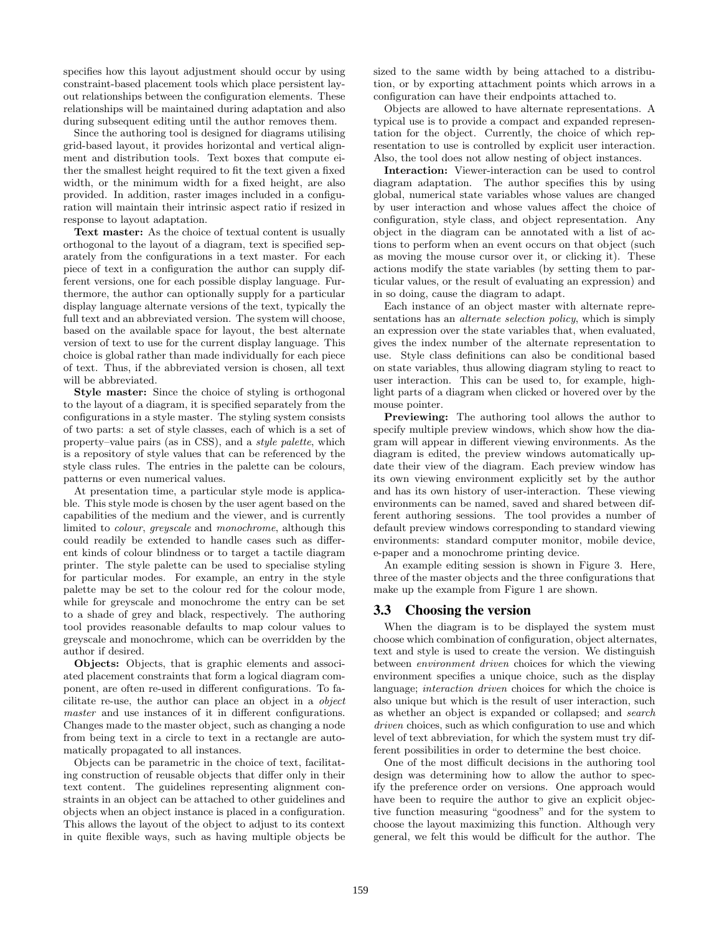specifies how this layout adjustment should occur by using constraint-based placement tools which place persistent layout relationships between the configuration elements. These relationships will be maintained during adaptation and also during subsequent editing until the author removes them.

Since the authoring tool is designed for diagrams utilising grid-based layout, it provides horizontal and vertical alignment and distribution tools. Text boxes that compute either the smallest height required to fit the text given a fixed width, or the minimum width for a fixed height, are also provided. In addition, raster images included in a configuration will maintain their intrinsic aspect ratio if resized in response to layout adaptation.

Text master: As the choice of textual content is usually orthogonal to the layout of a diagram, text is specified separately from the configurations in a text master. For each piece of text in a configuration the author can supply different versions, one for each possible display language. Furthermore, the author can optionally supply for a particular display language alternate versions of the text, typically the full text and an abbreviated version. The system will choose, based on the available space for layout, the best alternate version of text to use for the current display language. This choice is global rather than made individually for each piece of text. Thus, if the abbreviated version is chosen, all text will be abbreviated.

Style master: Since the choice of styling is orthogonal to the layout of a diagram, it is specified separately from the configurations in a style master. The styling system consists of two parts: a set of style classes, each of which is a set of property–value pairs (as in CSS), and a style palette, which is a repository of style values that can be referenced by the style class rules. The entries in the palette can be colours, patterns or even numerical values.

At presentation time, a particular style mode is applicable. This style mode is chosen by the user agent based on the capabilities of the medium and the viewer, and is currently limited to colour, greyscale and monochrome, although this could readily be extended to handle cases such as different kinds of colour blindness or to target a tactile diagram printer. The style palette can be used to specialise styling for particular modes. For example, an entry in the style palette may be set to the colour red for the colour mode, while for greyscale and monochrome the entry can be set to a shade of grey and black, respectively. The authoring tool provides reasonable defaults to map colour values to greyscale and monochrome, which can be overridden by the author if desired.

Objects: Objects, that is graphic elements and associated placement constraints that form a logical diagram component, are often re-used in different configurations. To facilitate re-use, the author can place an object in a object master and use instances of it in different configurations. Changes made to the master object, such as changing a node from being text in a circle to text in a rectangle are automatically propagated to all instances.

Objects can be parametric in the choice of text, facilitating construction of reusable objects that differ only in their text content. The guidelines representing alignment constraints in an object can be attached to other guidelines and objects when an object instance is placed in a configuration. This allows the layout of the object to adjust to its context in quite flexible ways, such as having multiple objects be sized to the same width by being attached to a distribution, or by exporting attachment points which arrows in a configuration can have their endpoints attached to.

Objects are allowed to have alternate representations. A typical use is to provide a compact and expanded representation for the object. Currently, the choice of which representation to use is controlled by explicit user interaction. Also, the tool does not allow nesting of object instances.

Interaction: Viewer-interaction can be used to control diagram adaptation. The author specifies this by using global, numerical state variables whose values are changed by user interaction and whose values affect the choice of configuration, style class, and object representation. Any object in the diagram can be annotated with a list of actions to perform when an event occurs on that object (such as moving the mouse cursor over it, or clicking it). These actions modify the state variables (by setting them to particular values, or the result of evaluating an expression) and in so doing, cause the diagram to adapt.

Each instance of an object master with alternate representations has an alternate selection policy, which is simply an expression over the state variables that, when evaluated, gives the index number of the alternate representation to use. Style class definitions can also be conditional based on state variables, thus allowing diagram styling to react to user interaction. This can be used to, for example, highlight parts of a diagram when clicked or hovered over by the mouse pointer.

**Previewing:** The authoring tool allows the author to specify multiple preview windows, which show how the diagram will appear in different viewing environments. As the diagram is edited, the preview windows automatically update their view of the diagram. Each preview window has its own viewing environment explicitly set by the author and has its own history of user-interaction. These viewing environments can be named, saved and shared between different authoring sessions. The tool provides a number of default preview windows corresponding to standard viewing environments: standard computer monitor, mobile device, e-paper and a monochrome printing device.

An example editing session is shown in Figure 3. Here, three of the master objects and the three configurations that make up the example from Figure 1 are shown.

#### 3.3 Choosing the version

When the diagram is to be displayed the system must choose which combination of configuration, object alternates, text and style is used to create the version. We distinguish between environment driven choices for which the viewing environment specifies a unique choice, such as the display language; *interaction driven* choices for which the choice is also unique but which is the result of user interaction, such as whether an object is expanded or collapsed; and search driven choices, such as which configuration to use and which level of text abbreviation, for which the system must try different possibilities in order to determine the best choice.

One of the most difficult decisions in the authoring tool design was determining how to allow the author to specify the preference order on versions. One approach would have been to require the author to give an explicit objective function measuring "goodness" and for the system to choose the layout maximizing this function. Although very general, we felt this would be difficult for the author. The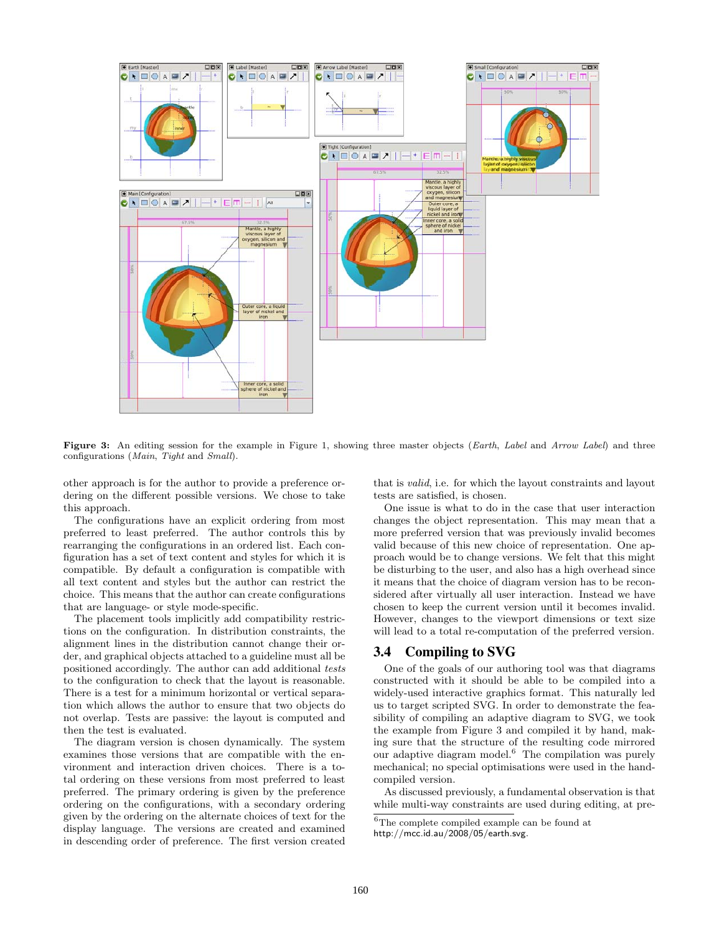

Figure 3: An editing session for the example in Figure 1, showing three master objects (Earth, Label and Arrow Label) and three configurations (Main, Tight and Small).

other approach is for the author to provide a preference ordering on the different possible versions. We chose to take this approach.

The configurations have an explicit ordering from most preferred to least preferred. The author controls this by rearranging the configurations in an ordered list. Each configuration has a set of text content and styles for which it is compatible. By default a configuration is compatible with all text content and styles but the author can restrict the choice. This means that the author can create configurations that are language- or style mode-specific.

The placement tools implicitly add compatibility restrictions on the configuration. In distribution constraints, the alignment lines in the distribution cannot change their order, and graphical objects attached to a guideline must all be positioned accordingly. The author can add additional tests to the configuration to check that the layout is reasonable. There is a test for a minimum horizontal or vertical separation which allows the author to ensure that two objects do not overlap. Tests are passive: the layout is computed and then the test is evaluated.

The diagram version is chosen dynamically. The system examines those versions that are compatible with the environment and interaction driven choices. There is a total ordering on these versions from most preferred to least preferred. The primary ordering is given by the preference ordering on the configurations, with a secondary ordering given by the ordering on the alternate choices of text for the display language. The versions are created and examined in descending order of preference. The first version created

that is valid, i.e. for which the layout constraints and layout tests are satisfied, is chosen.

One issue is what to do in the case that user interaction changes the object representation. This may mean that a more preferred version that was previously invalid becomes valid because of this new choice of representation. One approach would be to change versions. We felt that this might be disturbing to the user, and also has a high overhead since it means that the choice of diagram version has to be reconsidered after virtually all user interaction. Instead we have chosen to keep the current version until it becomes invalid. However, changes to the viewport dimensions or text size will lead to a total re-computation of the preferred version.

## 3.4 Compiling to SVG

One of the goals of our authoring tool was that diagrams constructed with it should be able to be compiled into a widely-used interactive graphics format. This naturally led us to target scripted SVG. In order to demonstrate the feasibility of compiling an adaptive diagram to SVG, we took the example from Figure 3 and compiled it by hand, making sure that the structure of the resulting code mirrored our adaptive diagram model.<sup>6</sup> The compilation was purely mechanical; no special optimisations were used in the handcompiled version.

As discussed previously, a fundamental observation is that while multi-way constraints are used during editing, at pre-

 $^6\mathrm{The}$  complete compiled example can be found at http://mcc.id.au/2008/05/earth.svg.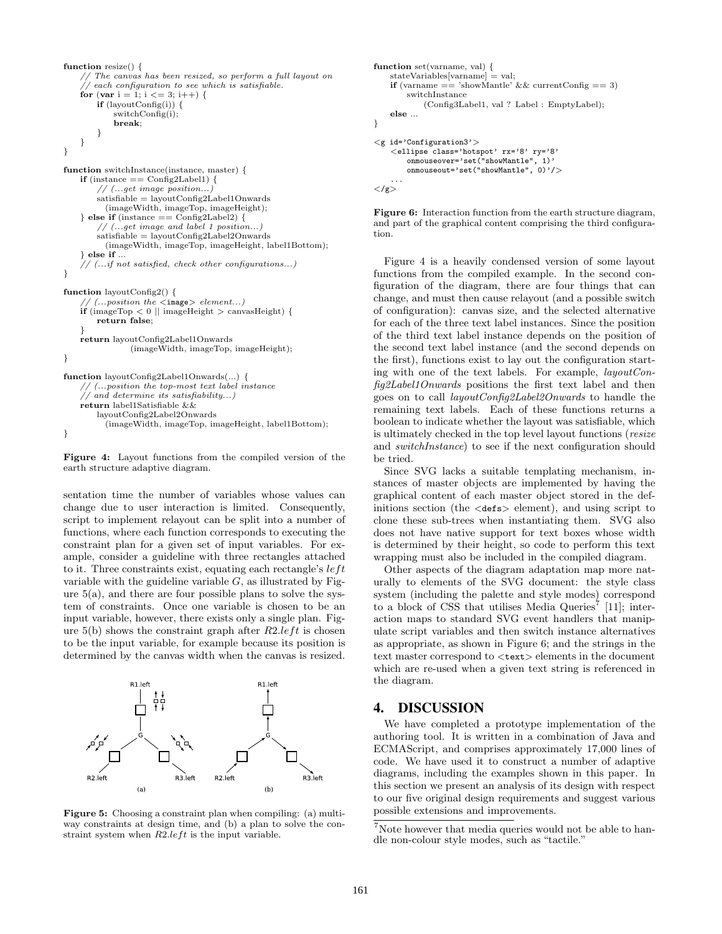```
function resize() {
       The canvas has been resized, so perform a full layout on
    // each configuration to see which is satisfiable.
    for (var i = 1; i \le 3; i + 1) {
        if (layoutConfig(i)) {
            switchConfig(i);
            break;
        }
    }
```
}

```
function switchInstance(instance, master) {
    if (instance == Config2Label1) {
        // (...get image position...)
        satisfiable = layoutConfig2Label1Onwards
          (imageWidth, imageTop, imageHeight);
    } else if (instance == Config2Label2) {
        // (...get image and label 1 position...)
        satisfiable = layoutConfig2Label2Onwards
         (imageWidth, imageTop, imageHeight, label1Bottom);
     else if ...
    // (...if not satisfied, check other configurations...)
}
function layoutConfig2() {
    // (...position the \langleimage> element...)
    \mathbf{if} (imageTop < 0 || imageHeight > canvasHeight) {
       return false;
    }
    return layoutConfig2Label1Onwards
                (imageWidth, imageTop, imageHeight);
}
function layoutConfig2Label1Onwards(...) {
    // (...position the top-most text label instance
```

```
\sqrt{a} and determine its satisfiability...)
    return label1Satisfiable &&
        layoutConfig2Label2Onwards
          (imageWidth, imageTop, imageHeight, label1Bottom);
}
```
Figure 4: Layout functions from the compiled version of the earth structure adaptive diagram.

sentation time the number of variables whose values can change due to user interaction is limited. Consequently, script to implement relayout can be split into a number of functions, where each function corresponds to executing the constraint plan for a given set of input variables. For example, consider a guideline with three rectangles attached to it. Three constraints exist, equating each rectangle's  $left$ variable with the guideline variable  $G$ , as illustrated by Figure  $5(a)$ , and there are four possible plans to solve the system of constraints. Once one variable is chosen to be an input variable, however, there exists only a single plan. Figure  $5(b)$  shows the constraint graph after  $R2.left$  is chosen to be the input variable, for example because its position is determined by the canvas width when the canvas is resized.



Figure 5: Choosing a constraint plan when compiling: (a) multiway constraints at design time, and (b) a plan to solve the constraint system when  $R2.left$  is the input variable.

```
function set(varname, val) {
    stateVariables[varname] = val;
    if (varname == 'showMantle' && currentConfig == 3)
        switchInstance
            (Config3Label1, val ? Label : EmptyLabel);
    else ...
}
\langle g \rangle id='Configuration3'>
    <ellipse class='hotspot' rx='8' ry='8'
        onmouseover='set("showMantle", 1)'
        onmouseout='set("showMantle", 0)'/>
    ...
</g>
```
Figure 6: Interaction function from the earth structure diagram, and part of the graphical content comprising the third configuration.

Figure 4 is a heavily condensed version of some layout functions from the compiled example. In the second configuration of the diagram, there are four things that can change, and must then cause relayout (and a possible switch of configuration): canvas size, and the selected alternative for each of the three text label instances. Since the position of the third text label instance depends on the position of the second text label instance (and the second depends on the first), functions exist to lay out the configuration starting with one of the text labels. For example,  $layoutCon$ fig2Label1Onwards positions the first text label and then goes on to call layoutConfig2Label2Onwards to handle the remaining text labels. Each of these functions returns a boolean to indicate whether the layout was satisfiable, which is ultimately checked in the top level layout functions (resize and *switchInstance*) to see if the next configuration should be tried.

Since SVG lacks a suitable templating mechanism, instances of master objects are implemented by having the graphical content of each master object stored in the definitions section (the  $\langle$  defs  $\rangle$  element), and using script to clone these sub-trees when instantiating them. SVG also does not have native support for text boxes whose width is determined by their height, so code to perform this text wrapping must also be included in the compiled diagram.

Other aspects of the diagram adaptation map more naturally to elements of the SVG document: the style class system (including the palette and style modes) correspond to a block of CSS that utilises Media Queries<sup>7</sup> [11]; interaction maps to standard SVG event handlers that manipulate script variables and then switch instance alternatives as appropriate, as shown in Figure 6; and the strings in the text master correspond to  $\langle \texttt{text}\rangle$  elements in the document which are re-used when a given text string is referenced in the diagram.

# 4. DISCUSSION

We have completed a prototype implementation of the authoring tool. It is written in a combination of Java and ECMAScript, and comprises approximately 17,000 lines of code. We have used it to construct a number of adaptive diagrams, including the examples shown in this paper. In this section we present an analysis of its design with respect to our five original design requirements and suggest various possible extensions and improvements.

 $7$ Note however that media queries would not be able to handle non-colour style modes, such as "tactile."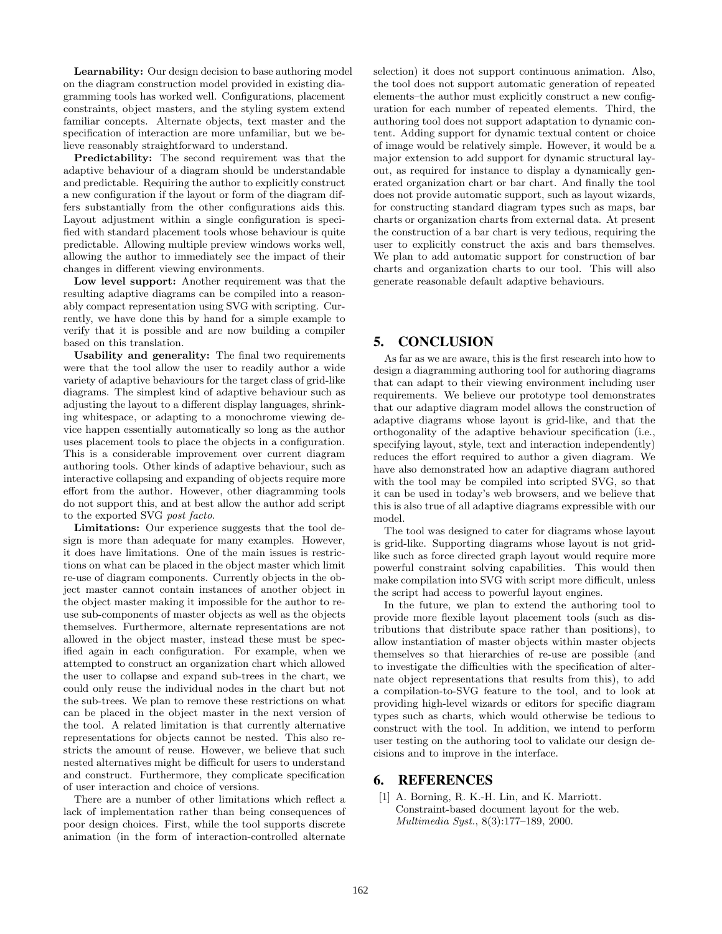Learnability: Our design decision to base authoring model on the diagram construction model provided in existing diagramming tools has worked well. Configurations, placement constraints, object masters, and the styling system extend familiar concepts. Alternate objects, text master and the specification of interaction are more unfamiliar, but we believe reasonably straightforward to understand.

Predictability: The second requirement was that the adaptive behaviour of a diagram should be understandable and predictable. Requiring the author to explicitly construct a new configuration if the layout or form of the diagram differs substantially from the other configurations aids this. Layout adjustment within a single configuration is specified with standard placement tools whose behaviour is quite predictable. Allowing multiple preview windows works well, allowing the author to immediately see the impact of their changes in different viewing environments.

Low level support: Another requirement was that the resulting adaptive diagrams can be compiled into a reasonably compact representation using SVG with scripting. Currently, we have done this by hand for a simple example to verify that it is possible and are now building a compiler based on this translation.

Usability and generality: The final two requirements were that the tool allow the user to readily author a wide variety of adaptive behaviours for the target class of grid-like diagrams. The simplest kind of adaptive behaviour such as adjusting the layout to a different display languages, shrinking whitespace, or adapting to a monochrome viewing device happen essentially automatically so long as the author uses placement tools to place the objects in a configuration. This is a considerable improvement over current diagram authoring tools. Other kinds of adaptive behaviour, such as interactive collapsing and expanding of objects require more effort from the author. However, other diagramming tools do not support this, and at best allow the author add script to the exported SVG post facto.

Limitations: Our experience suggests that the tool design is more than adequate for many examples. However, it does have limitations. One of the main issues is restrictions on what can be placed in the object master which limit re-use of diagram components. Currently objects in the object master cannot contain instances of another object in the object master making it impossible for the author to reuse sub-components of master objects as well as the objects themselves. Furthermore, alternate representations are not allowed in the object master, instead these must be specified again in each configuration. For example, when we attempted to construct an organization chart which allowed the user to collapse and expand sub-trees in the chart, we could only reuse the individual nodes in the chart but not the sub-trees. We plan to remove these restrictions on what can be placed in the object master in the next version of the tool. A related limitation is that currently alternative representations for objects cannot be nested. This also restricts the amount of reuse. However, we believe that such nested alternatives might be difficult for users to understand and construct. Furthermore, they complicate specification of user interaction and choice of versions.

There are a number of other limitations which reflect a lack of implementation rather than being consequences of poor design choices. First, while the tool supports discrete animation (in the form of interaction-controlled alternate

selection) it does not support continuous animation. Also, the tool does not support automatic generation of repeated elements–the author must explicitly construct a new configuration for each number of repeated elements. Third, the authoring tool does not support adaptation to dynamic content. Adding support for dynamic textual content or choice of image would be relatively simple. However, it would be a major extension to add support for dynamic structural layout, as required for instance to display a dynamically generated organization chart or bar chart. And finally the tool does not provide automatic support, such as layout wizards, for constructing standard diagram types such as maps, bar charts or organization charts from external data. At present the construction of a bar chart is very tedious, requiring the user to explicitly construct the axis and bars themselves. We plan to add automatic support for construction of bar charts and organization charts to our tool. This will also generate reasonable default adaptive behaviours.

# 5. CONCLUSION

As far as we are aware, this is the first research into how to design a diagramming authoring tool for authoring diagrams that can adapt to their viewing environment including user requirements. We believe our prototype tool demonstrates that our adaptive diagram model allows the construction of adaptive diagrams whose layout is grid-like, and that the orthogonality of the adaptive behaviour specification (i.e., specifying layout, style, text and interaction independently) reduces the effort required to author a given diagram. We have also demonstrated how an adaptive diagram authored with the tool may be compiled into scripted SVG, so that it can be used in today's web browsers, and we believe that this is also true of all adaptive diagrams expressible with our model.

The tool was designed to cater for diagrams whose layout is grid-like. Supporting diagrams whose layout is not gridlike such as force directed graph layout would require more powerful constraint solving capabilities. This would then make compilation into SVG with script more difficult, unless the script had access to powerful layout engines.

In the future, we plan to extend the authoring tool to provide more flexible layout placement tools (such as distributions that distribute space rather than positions), to allow instantiation of master objects within master objects themselves so that hierarchies of re-use are possible (and to investigate the difficulties with the specification of alternate object representations that results from this), to add a compilation-to-SVG feature to the tool, and to look at providing high-level wizards or editors for specific diagram types such as charts, which would otherwise be tedious to construct with the tool. In addition, we intend to perform user testing on the authoring tool to validate our design decisions and to improve in the interface.

# 6. REFERENCES

[1] A. Borning, R. K.-H. Lin, and K. Marriott. Constraint-based document layout for the web. Multimedia Syst., 8(3):177–189, 2000.